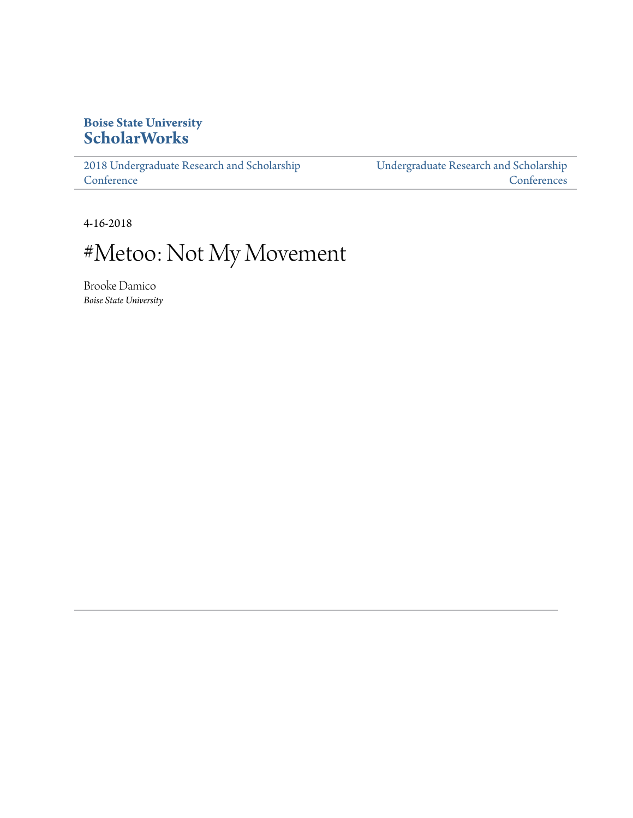# **Boise State University [ScholarWorks](https://scholarworks.boisestate.edu)**

[2018 Undergraduate Research and Scholarship](https://scholarworks.boisestate.edu/under_conf_2018) **[Conference](https://scholarworks.boisestate.edu/under_conf_2018)** 

[Undergraduate Research and Scholarship](https://scholarworks.boisestate.edu/under_conference) **[Conferences](https://scholarworks.boisestate.edu/under_conference)** 

4-16-2018

# #Metoo: Not My Movement

Brooke Damico *Boise State University*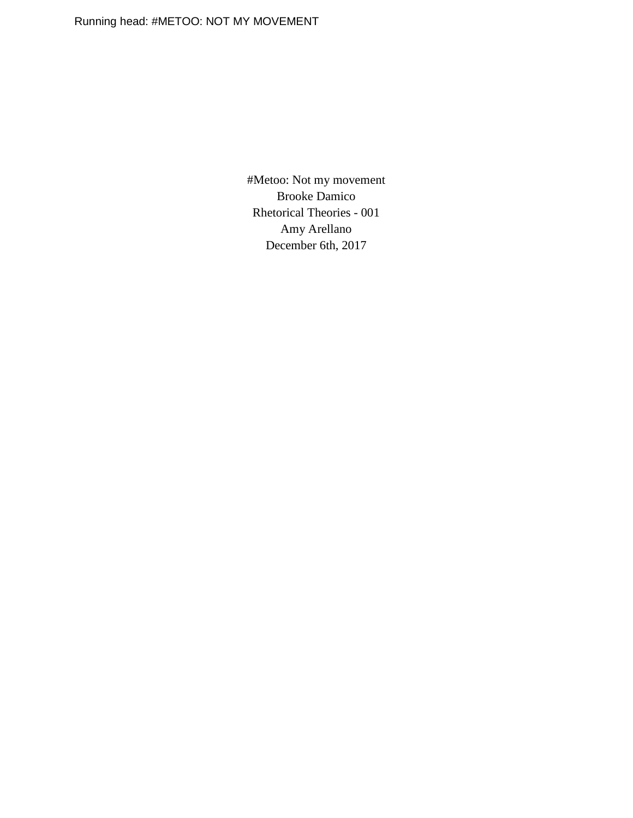#Metoo: Not my movement Brooke Damico Rhetorical Theories - 001 Amy Arellano December 6th, 2017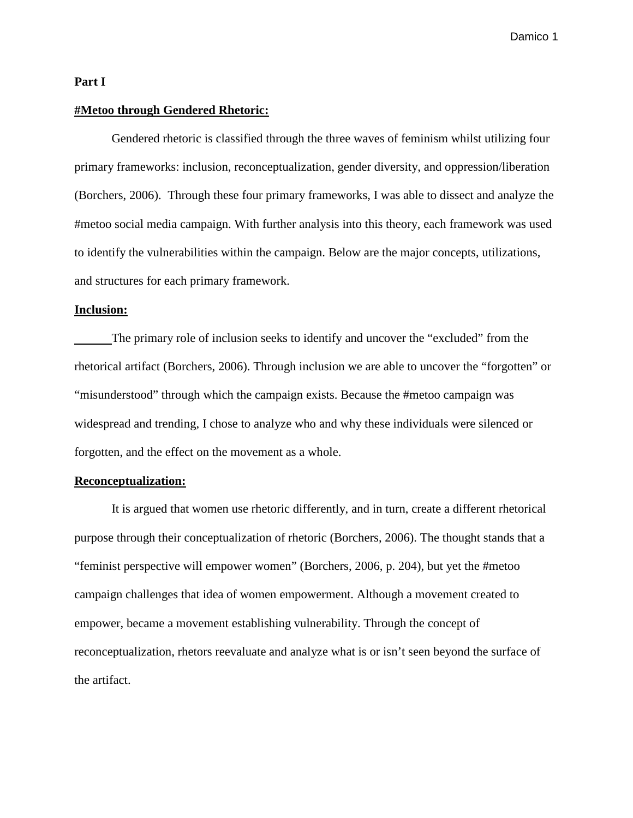## **Part I**

### **#Metoo through Gendered Rhetoric:**

Gendered rhetoric is classified through the three waves of feminism whilst utilizing four primary frameworks: inclusion, reconceptualization, gender diversity, and oppression/liberation (Borchers, 2006). Through these four primary frameworks, I was able to dissect and analyze the #metoo social media campaign. With further analysis into this theory, each framework was used to identify the vulnerabilities within the campaign. Below are the major concepts, utilizations, and structures for each primary framework.

# **Inclusion:**

The primary role of inclusion seeks to identify and uncover the "excluded" from the rhetorical artifact (Borchers, 2006). Through inclusion we are able to uncover the "forgotten" or "misunderstood" through which the campaign exists. Because the #metoo campaign was widespread and trending, I chose to analyze who and why these individuals were silenced or forgotten, and the effect on the movement as a whole.

## **Reconceptualization:**

It is argued that women use rhetoric differently, and in turn, create a different rhetorical purpose through their conceptualization of rhetoric (Borchers, 2006). The thought stands that a "feminist perspective will empower women" (Borchers, 2006, p. 204), but yet the #metoo campaign challenges that idea of women empowerment. Although a movement created to empower, became a movement establishing vulnerability. Through the concept of reconceptualization, rhetors reevaluate and analyze what is or isn't seen beyond the surface of the artifact.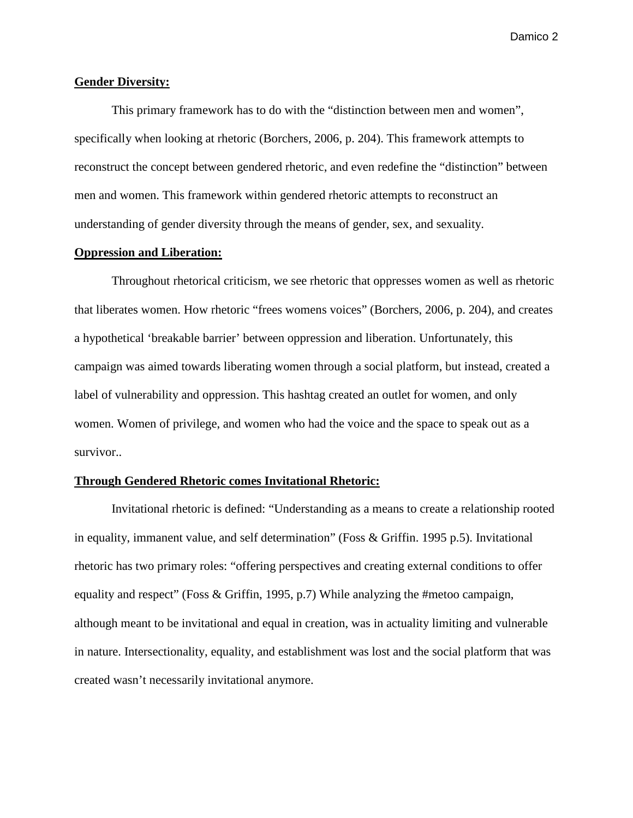## **Gender Diversity:**

This primary framework has to do with the "distinction between men and women", specifically when looking at rhetoric (Borchers, 2006, p. 204). This framework attempts to reconstruct the concept between gendered rhetoric, and even redefine the "distinction" between men and women. This framework within gendered rhetoric attempts to reconstruct an understanding of gender diversity through the means of gender, sex, and sexuality.

# **Oppression and Liberation:**

Throughout rhetorical criticism, we see rhetoric that oppresses women as well as rhetoric that liberates women. How rhetoric "frees womens voices" (Borchers, 2006, p. 204), and creates a hypothetical 'breakable barrier' between oppression and liberation. Unfortunately, this campaign was aimed towards liberating women through a social platform, but instead, created a label of vulnerability and oppression. This hashtag created an outlet for women, and only women. Women of privilege, and women who had the voice and the space to speak out as a survivor..

#### **Through Gendered Rhetoric comes Invitational Rhetoric:**

Invitational rhetoric is defined: "Understanding as a means to create a relationship rooted in equality, immanent value, and self determination" (Foss & Griffin. 1995 p.5). Invitational rhetoric has two primary roles: "offering perspectives and creating external conditions to offer equality and respect" (Foss & Griffin, 1995, p.7) While analyzing the #metoo campaign, although meant to be invitational and equal in creation, was in actuality limiting and vulnerable in nature. Intersectionality, equality, and establishment was lost and the social platform that was created wasn't necessarily invitational anymore.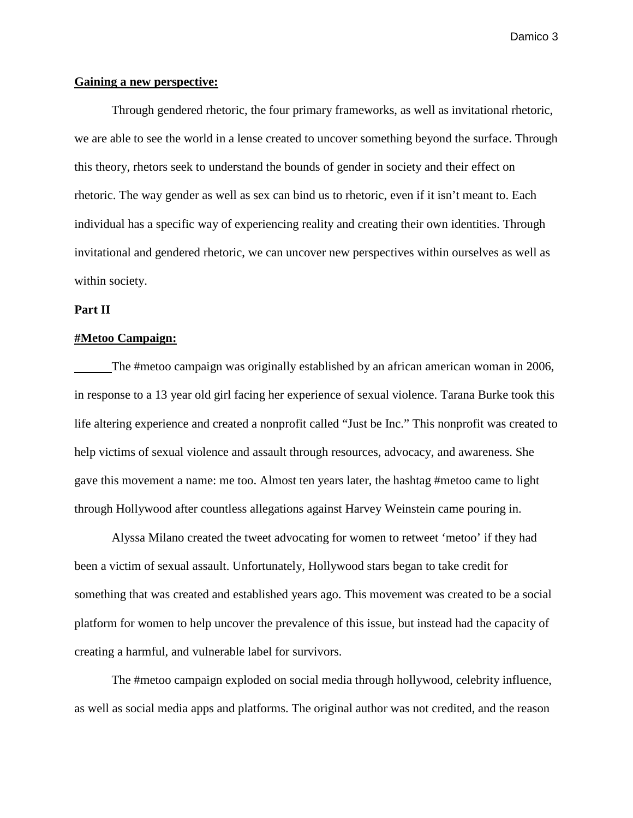# **Gaining a new perspective:**

Through gendered rhetoric, the four primary frameworks, as well as invitational rhetoric, we are able to see the world in a lense created to uncover something beyond the surface. Through this theory, rhetors seek to understand the bounds of gender in society and their effect on rhetoric. The way gender as well as sex can bind us to rhetoric, even if it isn't meant to. Each individual has a specific way of experiencing reality and creating their own identities. Through invitational and gendered rhetoric, we can uncover new perspectives within ourselves as well as within society.

# **Part II**

#### **#Metoo Campaign:**

The #metoo campaign was originally established by an african american woman in 2006, in response to a 13 year old girl facing her experience of sexual violence. Tarana Burke took this life altering experience and created a nonprofit called "Just be Inc." This nonprofit was created to help victims of sexual violence and assault through resources, advocacy, and awareness. She gave this movement a name: me too. Almost ten years later, the hashtag #metoo came to light through Hollywood after countless allegations against Harvey Weinstein came pouring in.

Alyssa Milano created the tweet advocating for women to retweet 'metoo' if they had been a victim of sexual assault. Unfortunately, Hollywood stars began to take credit for something that was created and established years ago. This movement was created to be a social platform for women to help uncover the prevalence of this issue, but instead had the capacity of creating a harmful, and vulnerable label for survivors.

The #metoo campaign exploded on social media through hollywood, celebrity influence, as well as social media apps and platforms. The original author was not credited, and the reason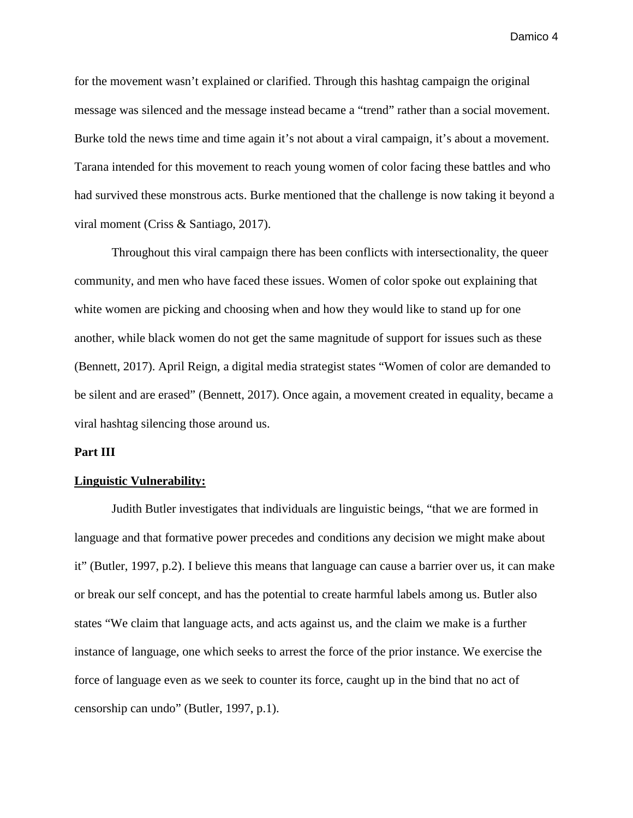for the movement wasn't explained or clarified. Through this hashtag campaign the original message was silenced and the message instead became a "trend" rather than a social movement. Burke told the news time and time again it's not about a viral campaign, it's about a movement. Tarana intended for this movement to reach young women of color facing these battles and who had survived these monstrous acts. Burke mentioned that the challenge is now taking it beyond a viral moment (Criss & Santiago, 2017).

Throughout this viral campaign there has been conflicts with intersectionality, the queer community, and men who have faced these issues. Women of color spoke out explaining that white women are picking and choosing when and how they would like to stand up for one another, while black women do not get the same magnitude of support for issues such as these (Bennett, 2017). April Reign, a digital media strategist states "Women of color are demanded to be silent and are erased" (Bennett, 2017). Once again, a movement created in equality, became a viral hashtag silencing those around us.

### **Part III**

#### **Linguistic Vulnerability:**

Judith Butler investigates that individuals are linguistic beings, "that we are formed in language and that formative power precedes and conditions any decision we might make about it" (Butler, 1997, p.2). I believe this means that language can cause a barrier over us, it can make or break our self concept, and has the potential to create harmful labels among us. Butler also states "We claim that language acts, and acts against us, and the claim we make is a further instance of language, one which seeks to arrest the force of the prior instance. We exercise the force of language even as we seek to counter its force, caught up in the bind that no act of censorship can undo" (Butler, 1997, p.1).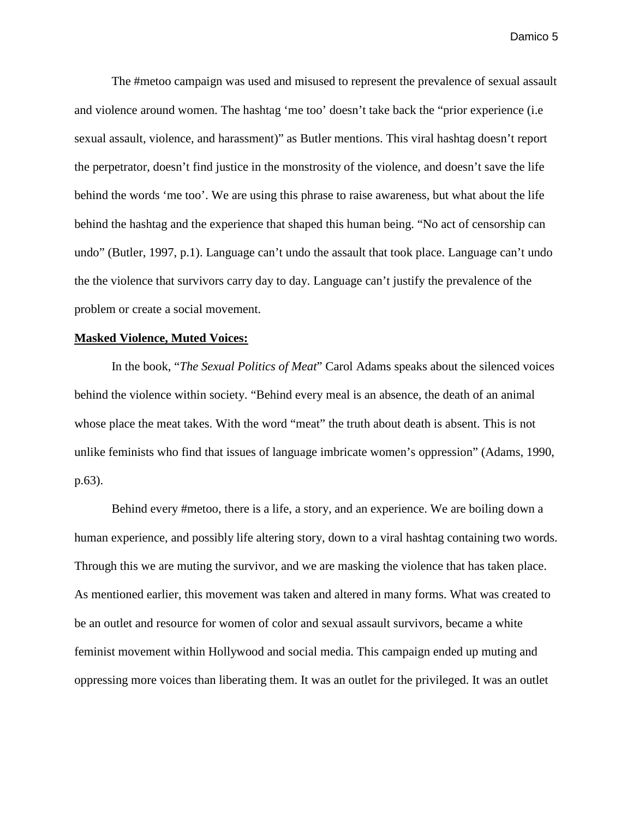The #metoo campaign was used and misused to represent the prevalence of sexual assault and violence around women. The hashtag 'me too' doesn't take back the "prior experience (i.e sexual assault, violence, and harassment)" as Butler mentions. This viral hashtag doesn't report the perpetrator, doesn't find justice in the monstrosity of the violence, and doesn't save the life behind the words 'me too'. We are using this phrase to raise awareness, but what about the life behind the hashtag and the experience that shaped this human being. "No act of censorship can undo" (Butler, 1997, p.1). Language can't undo the assault that took place. Language can't undo the the violence that survivors carry day to day. Language can't justify the prevalence of the problem or create a social movement.

#### **Masked Violence, Muted Voices:**

In the book, "*The Sexual Politics of Meat*" Carol Adams speaks about the silenced voices behind the violence within society. "Behind every meal is an absence, the death of an animal whose place the meat takes. With the word "meat" the truth about death is absent. This is not unlike feminists who find that issues of language imbricate women's oppression" (Adams, 1990, p.63).

Behind every #metoo, there is a life, a story, and an experience. We are boiling down a human experience, and possibly life altering story, down to a viral hashtag containing two words. Through this we are muting the survivor, and we are masking the violence that has taken place. As mentioned earlier, this movement was taken and altered in many forms. What was created to be an outlet and resource for women of color and sexual assault survivors, became a white feminist movement within Hollywood and social media. This campaign ended up muting and oppressing more voices than liberating them. It was an outlet for the privileged. It was an outlet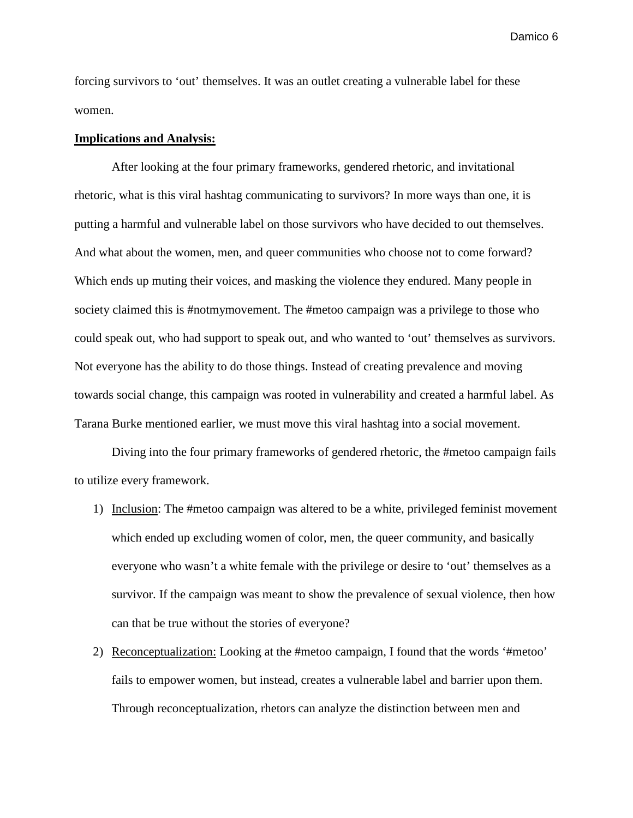forcing survivors to 'out' themselves. It was an outlet creating a vulnerable label for these women.

#### **Implications and Analysis:**

After looking at the four primary frameworks, gendered rhetoric, and invitational rhetoric, what is this viral hashtag communicating to survivors? In more ways than one, it is putting a harmful and vulnerable label on those survivors who have decided to out themselves. And what about the women, men, and queer communities who choose not to come forward? Which ends up muting their voices, and masking the violence they endured. Many people in society claimed this is #notmymovement. The #metoo campaign was a privilege to those who could speak out, who had support to speak out, and who wanted to 'out' themselves as survivors. Not everyone has the ability to do those things. Instead of creating prevalence and moving towards social change, this campaign was rooted in vulnerability and created a harmful label. As Tarana Burke mentioned earlier, we must move this viral hashtag into a social movement.

Diving into the four primary frameworks of gendered rhetoric, the #metoo campaign fails to utilize every framework.

- 1) Inclusion: The #metoo campaign was altered to be a white, privileged feminist movement which ended up excluding women of color, men, the queer community, and basically everyone who wasn't a white female with the privilege or desire to 'out' themselves as a survivor. If the campaign was meant to show the prevalence of sexual violence, then how can that be true without the stories of everyone?
- 2) Reconceptualization: Looking at the #metoo campaign, I found that the words '#metoo' fails to empower women, but instead, creates a vulnerable label and barrier upon them. Through reconceptualization, rhetors can analyze the distinction between men and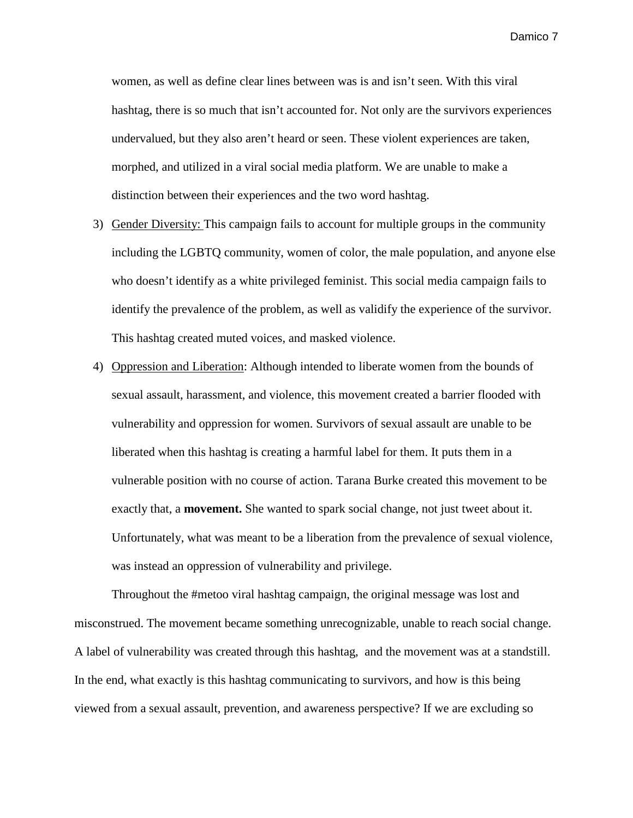women, as well as define clear lines between was is and isn't seen. With this viral hashtag, there is so much that isn't accounted for. Not only are the survivors experiences undervalued, but they also aren't heard or seen. These violent experiences are taken, morphed, and utilized in a viral social media platform. We are unable to make a distinction between their experiences and the two word hashtag.

- 3) Gender Diversity: This campaign fails to account for multiple groups in the community including the LGBTQ community, women of color, the male population, and anyone else who doesn't identify as a white privileged feminist. This social media campaign fails to identify the prevalence of the problem, as well as validify the experience of the survivor. This hashtag created muted voices, and masked violence.
- 4) Oppression and Liberation: Although intended to liberate women from the bounds of sexual assault, harassment, and violence, this movement created a barrier flooded with vulnerability and oppression for women. Survivors of sexual assault are unable to be liberated when this hashtag is creating a harmful label for them. It puts them in a vulnerable position with no course of action. Tarana Burke created this movement to be exactly that, a **movement.** She wanted to spark social change, not just tweet about it. Unfortunately, what was meant to be a liberation from the prevalence of sexual violence, was instead an oppression of vulnerability and privilege.

Throughout the #metoo viral hashtag campaign, the original message was lost and misconstrued. The movement became something unrecognizable, unable to reach social change. A label of vulnerability was created through this hashtag, and the movement was at a standstill. In the end, what exactly is this hashtag communicating to survivors, and how is this being viewed from a sexual assault, prevention, and awareness perspective? If we are excluding so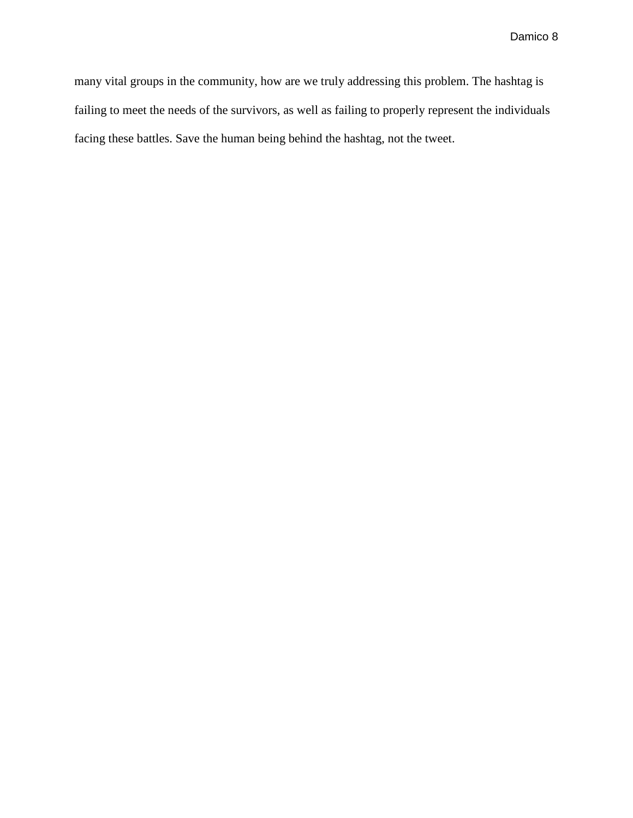many vital groups in the community, how are we truly addressing this problem. The hashtag is failing to meet the needs of the survivors, as well as failing to properly represent the individuals facing these battles. Save the human being behind the hashtag, not the tweet.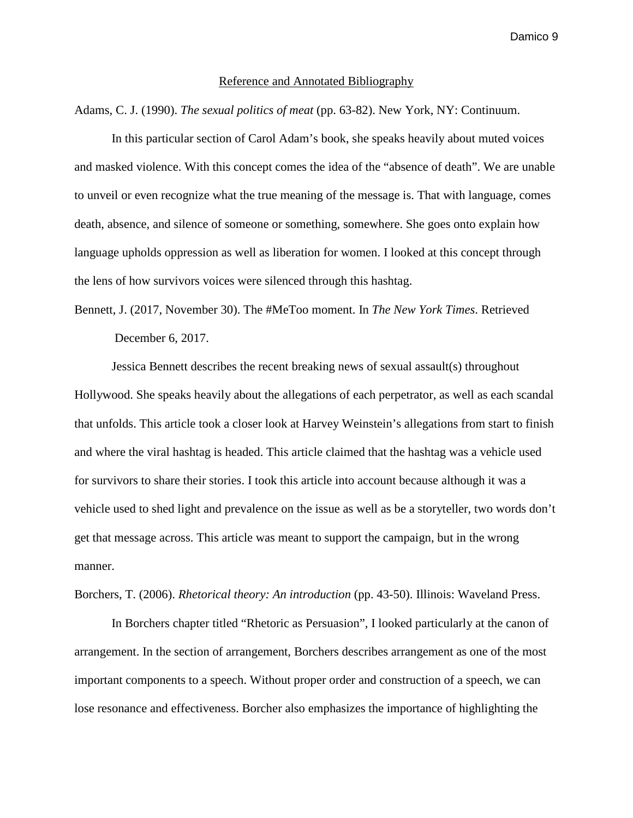#### Reference and Annotated Bibliography

Adams, C. J. (1990). *The sexual politics of meat* (pp. 63-82). New York, NY: Continuum.

In this particular section of Carol Adam's book, she speaks heavily about muted voices and masked violence. With this concept comes the idea of the "absence of death". We are unable to unveil or even recognize what the true meaning of the message is. That with language, comes death, absence, and silence of someone or something, somewhere. She goes onto explain how language upholds oppression as well as liberation for women. I looked at this concept through the lens of how survivors voices were silenced through this hashtag.

Bennett, J. (2017, November 30). The #MeToo moment. In *The New York Times*. Retrieved December 6, 2017.

Jessica Bennett describes the recent breaking news of sexual assault(s) throughout Hollywood. She speaks heavily about the allegations of each perpetrator, as well as each scandal that unfolds. This article took a closer look at Harvey Weinstein's allegations from start to finish and where the viral hashtag is headed. This article claimed that the hashtag was a vehicle used for survivors to share their stories. I took this article into account because although it was a vehicle used to shed light and prevalence on the issue as well as be a storyteller, two words don't get that message across. This article was meant to support the campaign, but in the wrong manner.

Borchers, T. (2006). *Rhetorical theory: An introduction* (pp. 43-50). Illinois: Waveland Press.

In Borchers chapter titled "Rhetoric as Persuasion", I looked particularly at the canon of arrangement. In the section of arrangement, Borchers describes arrangement as one of the most important components to a speech. Without proper order and construction of a speech, we can lose resonance and effectiveness. Borcher also emphasizes the importance of highlighting the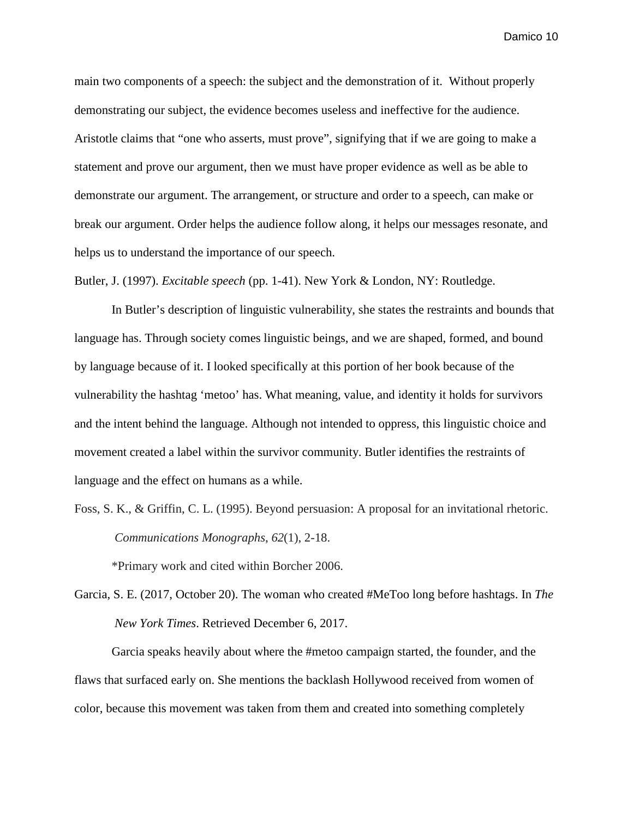main two components of a speech: the subject and the demonstration of it. Without properly demonstrating our subject, the evidence becomes useless and ineffective for the audience. Aristotle claims that "one who asserts, must prove", signifying that if we are going to make a statement and prove our argument, then we must have proper evidence as well as be able to demonstrate our argument. The arrangement, or structure and order to a speech, can make or break our argument. Order helps the audience follow along, it helps our messages resonate, and helps us to understand the importance of our speech.

Butler, J. (1997). *Excitable speech* (pp. 1-41). New York & London, NY: Routledge.

In Butler's description of linguistic vulnerability, she states the restraints and bounds that language has. Through society comes linguistic beings, and we are shaped, formed, and bound by language because of it. I looked specifically at this portion of her book because of the vulnerability the hashtag 'metoo' has. What meaning, value, and identity it holds for survivors and the intent behind the language. Although not intended to oppress, this linguistic choice and movement created a label within the survivor community. Butler identifies the restraints of language and the effect on humans as a while.

Foss, S. K., & Griffin, C. L. (1995). Beyond persuasion: A proposal for an invitational rhetoric. *Communications Monographs*, *62*(1), 2-18.

\*Primary work and cited within Borcher 2006.

Garcia, S. E. (2017, October 20). The woman who created #MeToo long before hashtags. In *The New York Times*. Retrieved December 6, 2017.

Garcia speaks heavily about where the #metoo campaign started, the founder, and the flaws that surfaced early on. She mentions the backlash Hollywood received from women of color, because this movement was taken from them and created into something completely